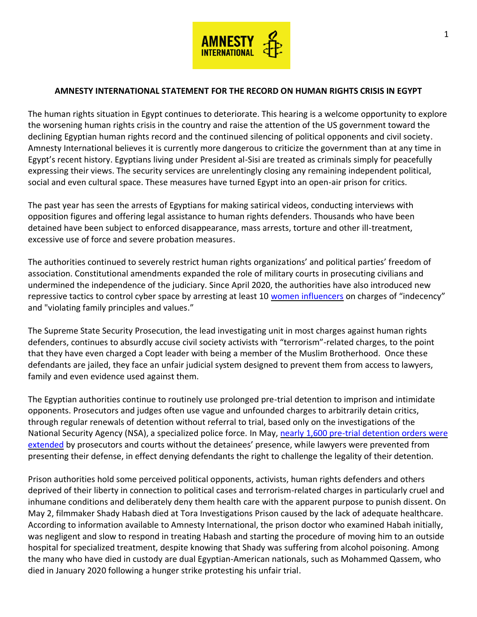

## **AMNESTY INTERNATIONAL STATEMENT FOR THE RECORD ON HUMAN RIGHTS CRISIS IN EGYPT**

The human rights situation in Egypt continues to deteriorate. This hearing is a welcome opportunity to explore the worsening human rights crisis in the country and raise the attention of the US government toward the declining Egyptian human rights record and the continued silencing of political opponents and civil society. Amnesty International believes it is currently more dangerous to criticize the government than at any time in Egypt's recent history. Egyptians living under President al-Sisi are treated as criminals simply for peacefully expressing their views. The security services are unrelentingly closing any remaining independent political, social and even cultural space. These measures have turned Egypt into an open-air prison for critics.

The past year has seen the arrests of Egyptians for making satirical videos, conducting interviews with opposition figures and offering legal assistance to human rights defenders. Thousands who have been detained have been subject to enforced disappearance, mass arrests, torture and other ill-treatment, excessive use of force and severe probation measures.

The authorities continued to severely restrict human rights organizations' and political parties' freedom of association. Constitutional amendments expanded the role of military courts in prosecuting civilians and undermined the independence of the judiciary. Since April 2020, the authorities have also introduced new repressive tactics to control cyber space by arresting at least 10 [women influencers](https://www.amnesty.org/en/latest/news/2020/08/egypt-survivors-of-sexual-violence-and-online-abuse-among-prosecuted-women-tiktok-influencers/) on charges of "indecency" and "violating family principles and values."

The Supreme State Security Prosecution, the lead investigating unit in most charges against human rights defenders, continues to absurdly accuse civil society activists with "terrorism"-related charges, to the point that they have even charged a Copt leader with being a member of the Muslim Brotherhood. Once these defendants are jailed, they face an unfair judicial system designed to prevent them from access to lawyers, family and even evidence used against them.

The Egyptian authorities continue to routinely use prolonged pre-trial detention to imprison and intimidate opponents. Prosecutors and judges often use vague and unfounded charges to arbitrarily detain critics, through regular renewals of detention without referral to trial, based only on the investigations of the National Security Agency (NSA), a specialized police force. In May, nearly 1,600 pre-trial detention orders were [extended](https://www.amnesty.org/en/latest/news/2020/05/egypt-court-arbitrarily-extends-the-pretrial-detention-of-over-1600-defendants/) by prosecutors and courts without the detainees' presence, while lawyers were prevented from presenting their defense, in effect denying defendants the right to challenge the legality of their detention.

Prison authorities hold some perceived political opponents, activists, human rights defenders and others deprived of their liberty in connection to political cases and terrorism-related charges in particularly cruel and inhumane conditions and deliberately deny them health care with the apparent purpose to punish dissent. On May 2, filmmaker Shady Habash died at Tora Investigations Prison caused by the lack of adequate healthcare. According to information available to Amnesty International, the prison doctor who examined Habah initially, was negligent and slow to respond in treating Habash and starting the procedure of moving him to an outside hospital for specialized treatment, despite knowing that Shady was suffering from alcohol poisoning. Among the many who have died in custody are dual Egyptian-American nationals, such as Mohammed Qassem, who died in January 2020 following a hunger strike protesting his unfair trial.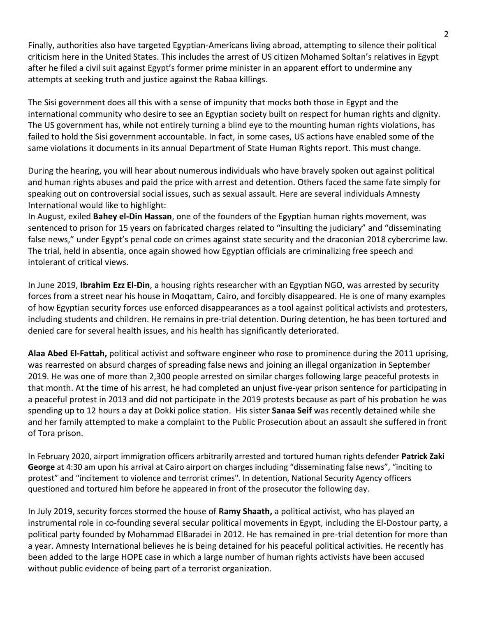Finally, authorities also have targeted Egyptian-Americans living abroad, attempting to silence their political criticism here in the United States. This includes the arrest of US citizen Mohamed Soltan's relatives in Egypt after he filed a civil suit against Egypt's former prime minister in an apparent effort to undermine any attempts at seeking truth and justice against the Rabaa killings.

The Sisi government does all this with a sense of impunity that mocks both those in Egypt and the international community who desire to see an Egyptian society built on respect for human rights and dignity. The US government has, while not entirely turning a blind eye to the mounting human rights violations, has failed to hold the Sisi government accountable. In fact, in some cases, US actions have enabled some of the same violations it documents in its annual Department of State Human Rights report. This must change.

During the hearing, you will hear about numerous individuals who have bravely spoken out against political and human rights abuses and paid the price with arrest and detention. Others faced the same fate simply for speaking out on controversial social issues, such as sexual assault. Here are several individuals Amnesty International would like to highlight:

In August, exiled **Bahey el-Din Hassan**, one of the founders of the Egyptian human rights movement, was sentenced to prison for 15 years on fabricated charges related to "insulting the judiciary" and "disseminating false news," under Egypt's penal code on crimes against state security and the draconian 2018 cybercrime law. The trial, held in absentia, once again showed how Egyptian officials are criminalizing free speech and intolerant of critical views.

In June 2019, **Ibrahim Ezz El-Din**, a housing rights researcher with an Egyptian NGO, was arrested by security forces from a street near his house in Moqattam, Cairo, and forcibly disappeared. He is one of many examples of how Egyptian security forces use enforced disappearances as a tool against political activists and protesters, including students and children. He remains in pre-trial detention. During detention, he has been tortured and denied care for several health issues, and his health has significantly deteriorated.

**Alaa Abed El-Fattah,** political activist and software engineer who rose to prominence during the 2011 uprising, was rearrested on absurd charges of spreading false news and joining an illegal organization in September 2019. He was one of more than 2,300 people arrested on similar charges following large peaceful protests in that month. At the time of his arrest, he had completed an unjust five-year prison sentence for participating in a peaceful protest in 2013 and did not participate in the 2019 protests because as part of his probation he was spending up to 12 hours a day at Dokki police station. His sister **Sanaa Seif** was recently detained while she and her family attempted to make a complaint to the Public Prosecution about an assault she suffered in front of Tora prison.

In February 2020, airport immigration officers arbitrarily arrested and tortured human rights defender **Patrick Zaki George** at 4:30 am upon his arrival at Cairo airport on charges including "disseminating false news", "inciting to protest" and "incitement to violence and terrorist crimes". In detention, National Security Agency officers questioned and tortured him before he appeared in front of the prosecutor the following day.

In July 2019, security forces stormed the house of **Ramy Shaath,** a political activist, who has played an instrumental role in co-founding several secular political movements in Egypt, including the El-Dostour party, a political party founded by Mohammad ElBaradei in 2012. He has remained in pre-trial detention for more than a year. Amnesty International believes he is being detained for his peaceful political activities. He recently has been added to the large HOPE case in which a large number of human rights activists have been accused without public evidence of being part of a terrorist organization.